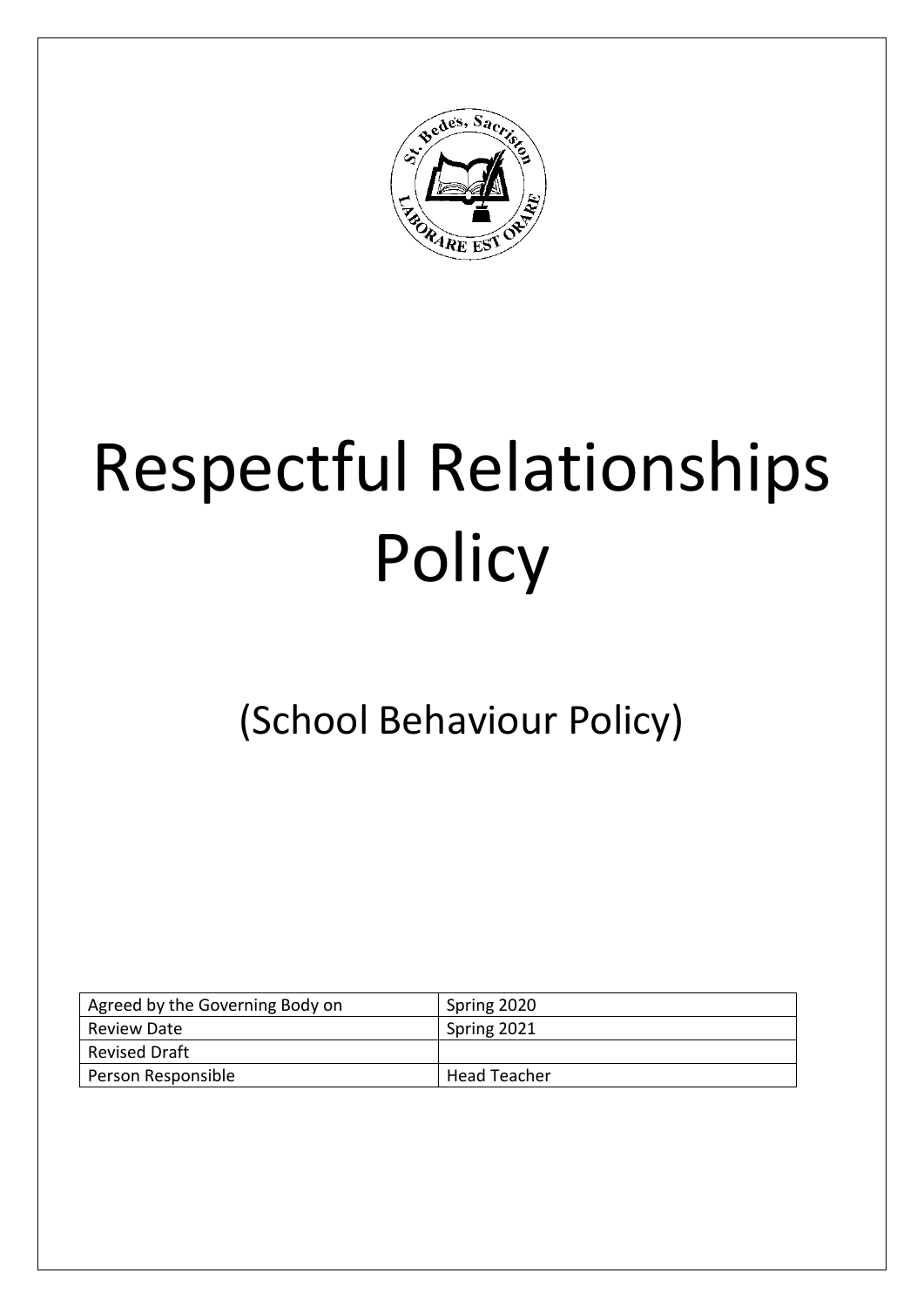

# Respectful Relationships **Policy**

(School Behaviour Policy)

| Agreed by the Governing Body on | Spring 2020  |
|---------------------------------|--------------|
| Review Date                     | Spring 2021  |
| <b>Revised Draft</b>            |              |
| Person Responsible              | Head Teacher |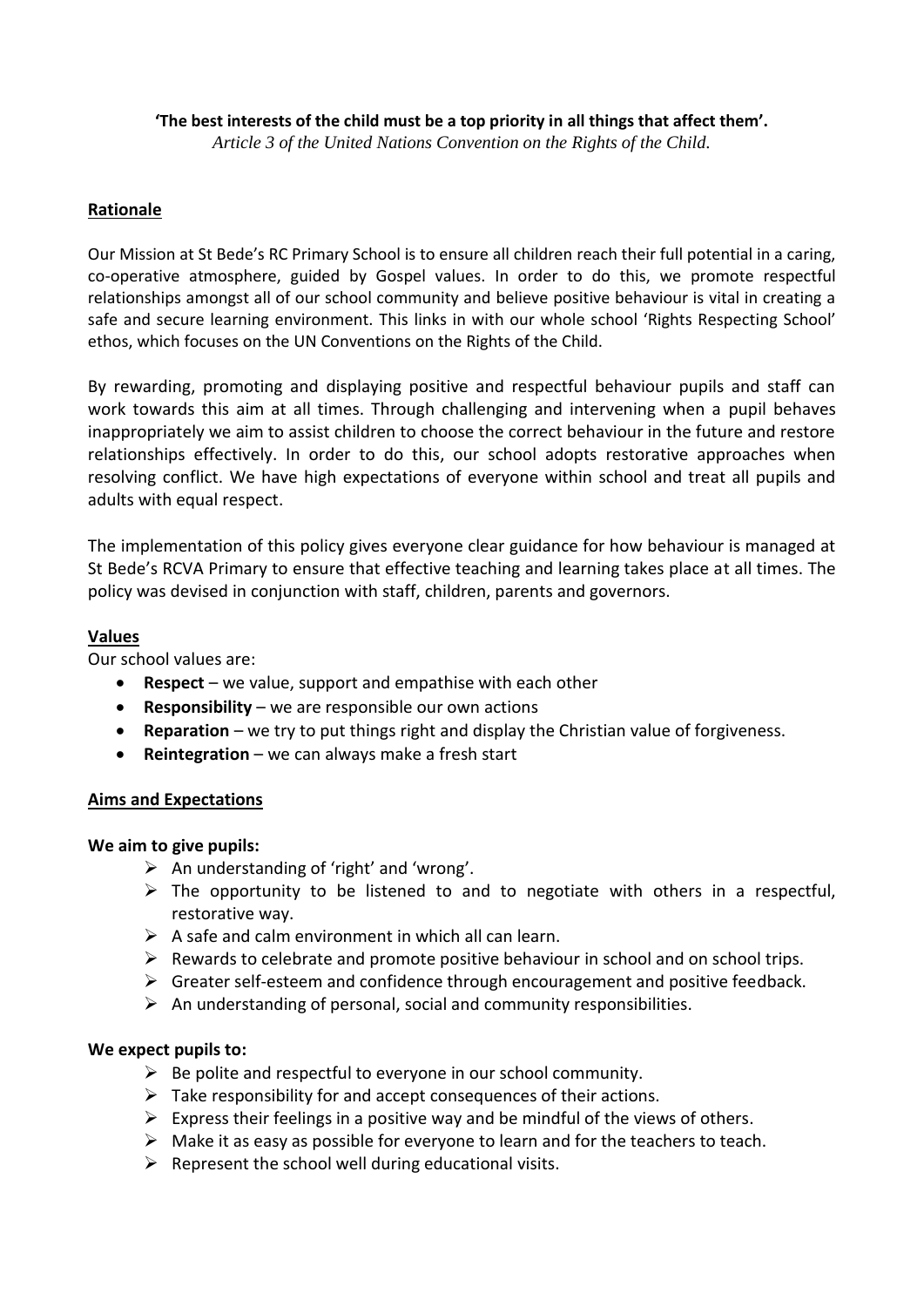## **'The best interests of the child must be a top priority in all things that affect them'.**

*Article 3 of the United Nations Convention on the Rights of the Child.*

## **Rationale**

Our Mission at St Bede's RC Primary School is to ensure all children reach their full potential in a caring, co-operative atmosphere, guided by Gospel values. In order to do this, we promote respectful relationships amongst all of our school community and believe positive behaviour is vital in creating a safe and secure learning environment. This links in with our whole school 'Rights Respecting School' ethos, which focuses on the UN Conventions on the Rights of the Child.

By rewarding, promoting and displaying positive and respectful behaviour pupils and staff can work towards this aim at all times. Through challenging and intervening when a pupil behaves inappropriately we aim to assist children to choose the correct behaviour in the future and restore relationships effectively. In order to do this, our school adopts restorative approaches when resolving conflict. We have high expectations of everyone within school and treat all pupils and adults with equal respect.

The implementation of this policy gives everyone clear guidance for how behaviour is managed at St Bede's RCVA Primary to ensure that effective teaching and learning takes place at all times. The policy was devised in conjunction with staff, children, parents and governors.

#### **Values**

Our school values are:

- **Respect** we value, support and empathise with each other
- **Responsibility** we are responsible our own actions
- **Reparation** we try to put things right and display the Christian value of forgiveness.
- **Reintegration** we can always make a fresh start

# **Aims and Expectations**

#### **We aim to give pupils:**

- $\triangleright$  An understanding of 'right' and 'wrong'.
- $\triangleright$  The opportunity to be listened to and to negotiate with others in a respectful, restorative way.
- $\triangleright$  A safe and calm environment in which all can learn.
- $\triangleright$  Rewards to celebrate and promote positive behaviour in school and on school trips.
- $\triangleright$  Greater self-esteem and confidence through encouragement and positive feedback.
- $\triangleright$  An understanding of personal, social and community responsibilities.

#### **We expect pupils to:**

- $\triangleright$  Be polite and respectful to everyone in our school community.
- $\triangleright$  Take responsibility for and accept consequences of their actions.
- $\triangleright$  Express their feelings in a positive way and be mindful of the views of others.
- $\triangleright$  Make it as easy as possible for everyone to learn and for the teachers to teach.
- $\triangleright$  Represent the school well during educational visits.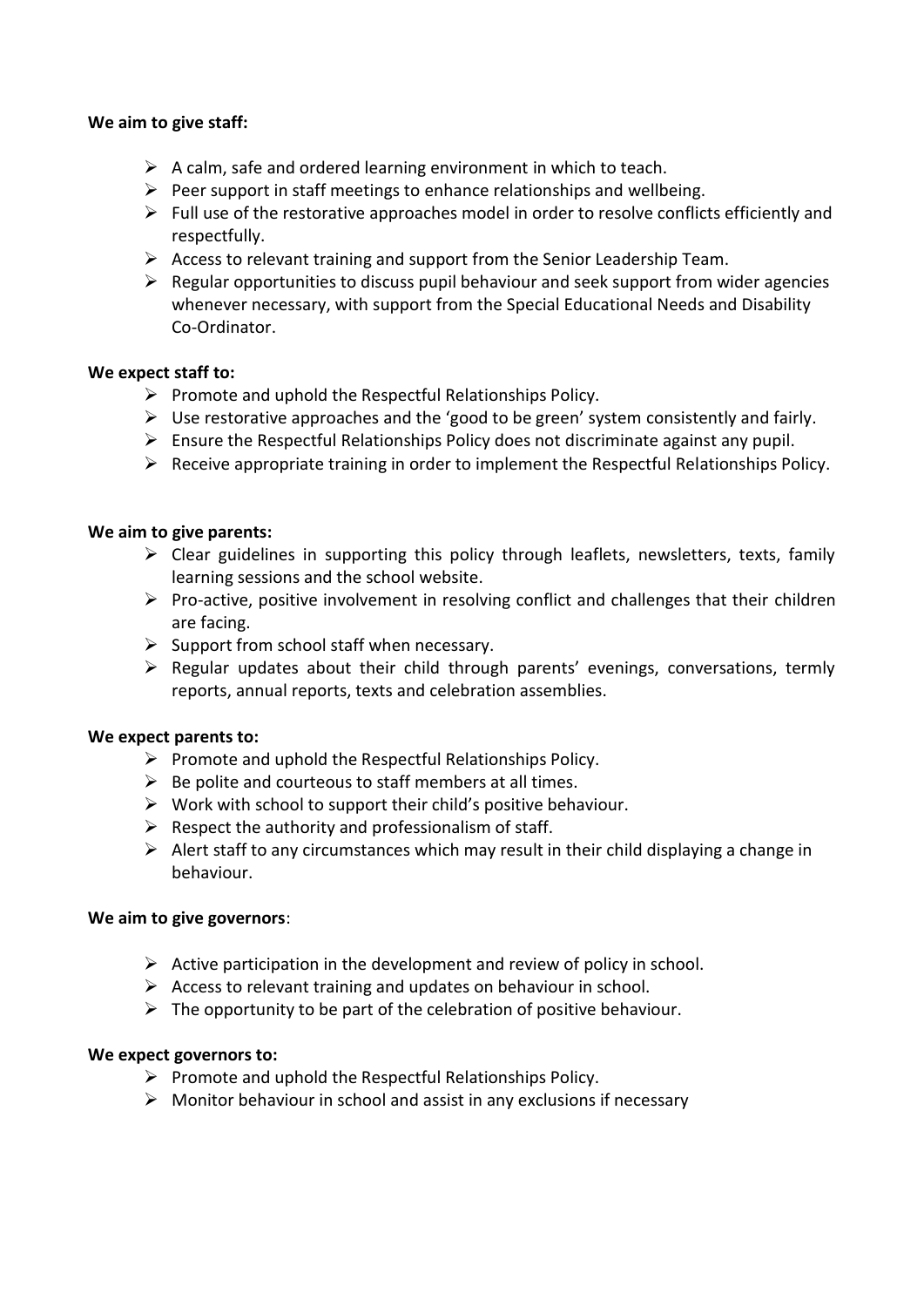#### **We aim to give staff:**

- $\triangleright$  A calm, safe and ordered learning environment in which to teach.
- $\triangleright$  Peer support in staff meetings to enhance relationships and wellbeing.
- $\triangleright$  Full use of the restorative approaches model in order to resolve conflicts efficiently and respectfully.
- ➢ Access to relevant training and support from the Senior Leadership Team.
- $\triangleright$  Regular opportunities to discuss pupil behaviour and seek support from wider agencies whenever necessary, with support from the Special Educational Needs and Disability Co-Ordinator.

#### **We expect staff to:**

- ➢ Promote and uphold the Respectful Relationships Policy.
- $\triangleright$  Use restorative approaches and the 'good to be green' system consistently and fairly.
- $\triangleright$  Ensure the Respectful Relationships Policy does not discriminate against any pupil.
- ➢ Receive appropriate training in order to implement the Respectful Relationships Policy.

#### **We aim to give parents:**

- $\triangleright$  Clear guidelines in supporting this policy through leaflets, newsletters, texts, family learning sessions and the school website.
- $\triangleright$  Pro-active, positive involvement in resolving conflict and challenges that their children are facing.
- $\triangleright$  Support from school staff when necessary.
- ➢ Regular updates about their child through parents' evenings, conversations, termly reports, annual reports, texts and celebration assemblies.

#### **We expect parents to:**

- $\triangleright$  Promote and uphold the Respectful Relationships Policy.
- $\triangleright$  Be polite and courteous to staff members at all times.
- $\triangleright$  Work with school to support their child's positive behaviour.
- $\triangleright$  Respect the authority and professionalism of staff.
- $\triangleright$  Alert staff to any circumstances which may result in their child displaying a change in behaviour.

#### **We aim to give governors**:

- $\triangleright$  Active participation in the development and review of policy in school.
- $\triangleright$  Access to relevant training and updates on behaviour in school.
- $\triangleright$  The opportunity to be part of the celebration of positive behaviour.

#### **We expect governors to:**

- ➢ Promote and uphold the Respectful Relationships Policy.
- $\triangleright$  Monitor behaviour in school and assist in any exclusions if necessary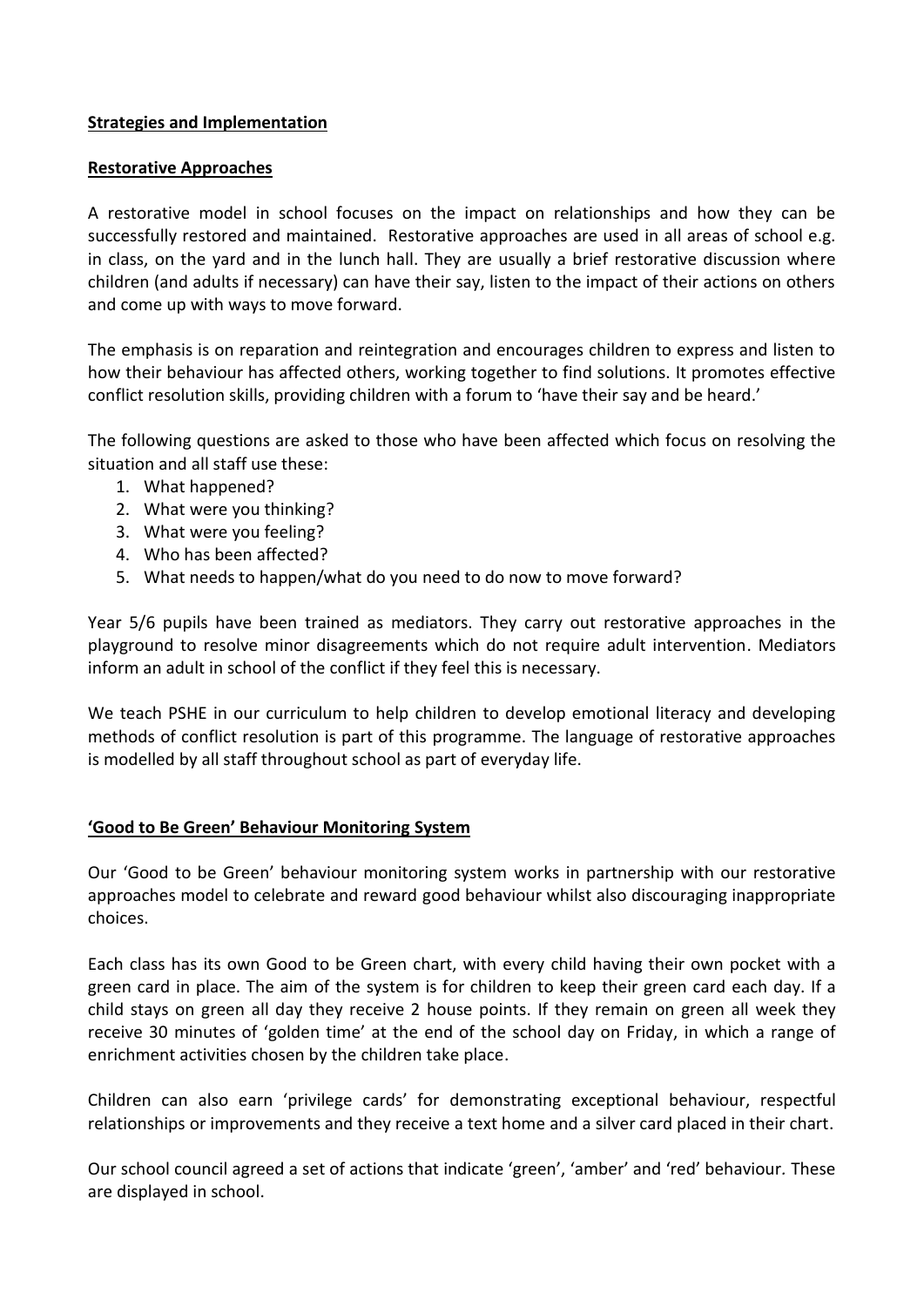## **Strategies and Implementation**

#### **Restorative Approaches**

A restorative model in school focuses on the impact on relationships and how they can be successfully restored and maintained. Restorative approaches are used in all areas of school e.g. in class, on the yard and in the lunch hall. They are usually a brief restorative discussion where children (and adults if necessary) can have their say, listen to the impact of their actions on others and come up with ways to move forward.

The emphasis is on reparation and reintegration and encourages children to express and listen to how their behaviour has affected others, working together to find solutions. It promotes effective conflict resolution skills, providing children with a forum to 'have their say and be heard.'

The following questions are asked to those who have been affected which focus on resolving the situation and all staff use these:

- 1. What happened?
- 2. What were you thinking?
- 3. What were you feeling?
- 4. Who has been affected?
- 5. What needs to happen/what do you need to do now to move forward?

Year 5/6 pupils have been trained as mediators. They carry out restorative approaches in the playground to resolve minor disagreements which do not require adult intervention. Mediators inform an adult in school of the conflict if they feel this is necessary.

We teach PSHE in our curriculum to help children to develop emotional literacy and developing methods of conflict resolution is part of this programme. The language of restorative approaches is modelled by all staff throughout school as part of everyday life.

# **'Good to Be Green' Behaviour Monitoring System**

Our 'Good to be Green' behaviour monitoring system works in partnership with our restorative approaches model to celebrate and reward good behaviour whilst also discouraging inappropriate choices.

Each class has its own Good to be Green chart, with every child having their own pocket with a green card in place. The aim of the system is for children to keep their green card each day. If a child stays on green all day they receive 2 house points. If they remain on green all week they receive 30 minutes of 'golden time' at the end of the school day on Friday, in which a range of enrichment activities chosen by the children take place.

Children can also earn 'privilege cards' for demonstrating exceptional behaviour, respectful relationships or improvements and they receive a text home and a silver card placed in their chart.

Our school council agreed a set of actions that indicate 'green', 'amber' and 'red' behaviour*.* These are displayed in school.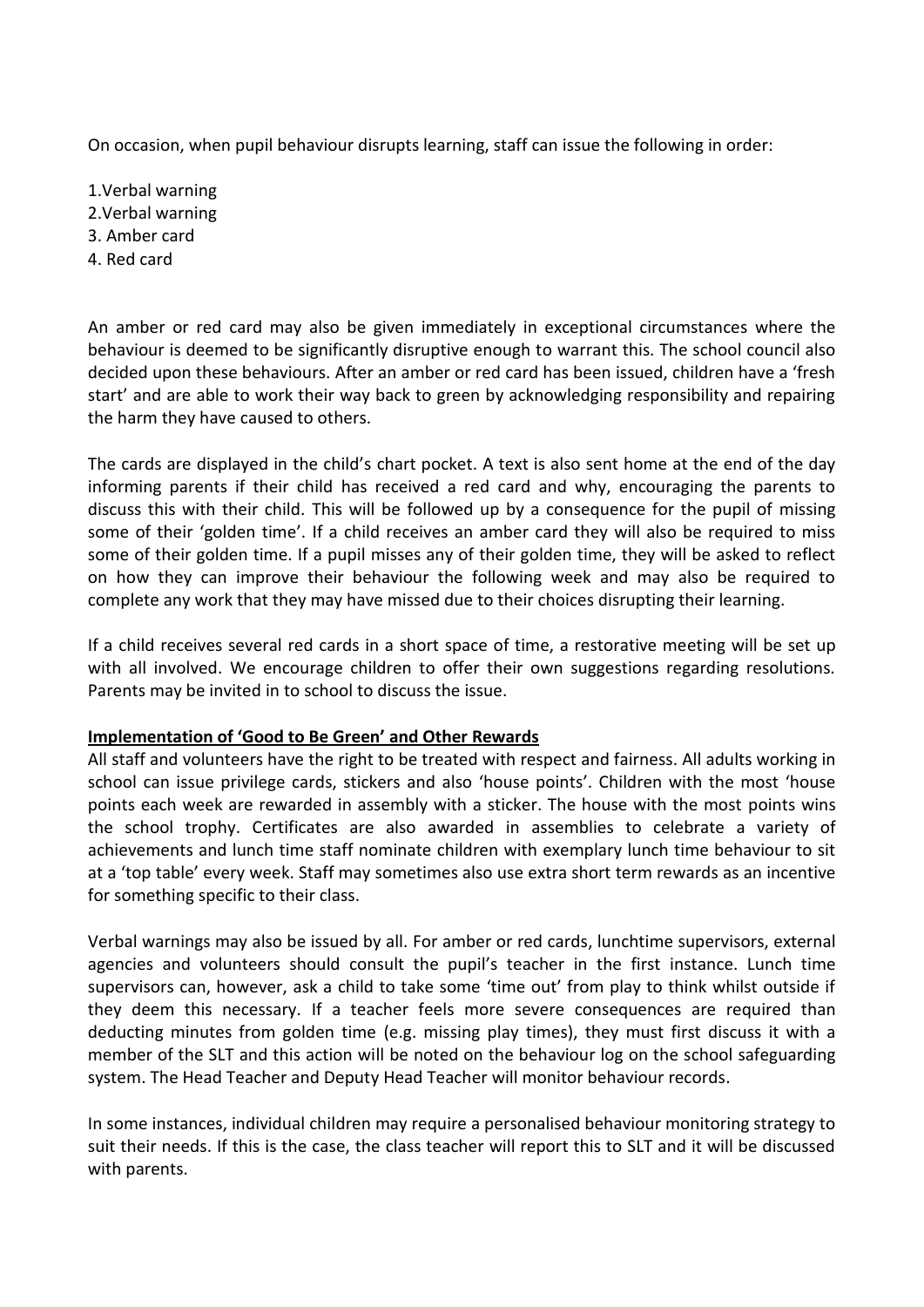On occasion, when pupil behaviour disrupts learning, staff can issue the following in order:

- 1.Verbal warning
- 2.Verbal warning
- 3. Amber card
- 4. Red card

An amber or red card may also be given immediately in exceptional circumstances where the behaviour is deemed to be significantly disruptive enough to warrant this. The school council also decided upon these behaviours. After an amber or red card has been issued, children have a 'fresh start' and are able to work their way back to green by acknowledging responsibility and repairing the harm they have caused to others.

The cards are displayed in the child's chart pocket. A text is also sent home at the end of the day informing parents if their child has received a red card and why, encouraging the parents to discuss this with their child. This will be followed up by a consequence for the pupil of missing some of their 'golden time'. If a child receives an amber card they will also be required to miss some of their golden time. If a pupil misses any of their golden time, they will be asked to reflect on how they can improve their behaviour the following week and may also be required to complete any work that they may have missed due to their choices disrupting their learning.

If a child receives several red cards in a short space of time, a restorative meeting will be set up with all involved. We encourage children to offer their own suggestions regarding resolutions. Parents may be invited in to school to discuss the issue.

#### **Implementation of 'Good to Be Green' and Other Rewards**

All staff and volunteers have the right to be treated with respect and fairness. All adults working in school can issue privilege cards, stickers and also 'house points'. Children with the most 'house points each week are rewarded in assembly with a sticker. The house with the most points wins the school trophy. Certificates are also awarded in assemblies to celebrate a variety of achievements and lunch time staff nominate children with exemplary lunch time behaviour to sit at a 'top table' every week. Staff may sometimes also use extra short term rewards as an incentive for something specific to their class.

Verbal warnings may also be issued by all. For amber or red cards, lunchtime supervisors, external agencies and volunteers should consult the pupil's teacher in the first instance. Lunch time supervisors can, however, ask a child to take some 'time out' from play to think whilst outside if they deem this necessary. If a teacher feels more severe consequences are required than deducting minutes from golden time (e.g. missing play times), they must first discuss it with a member of the SLT and this action will be noted on the behaviour log on the school safeguarding system. The Head Teacher and Deputy Head Teacher will monitor behaviour records.

In some instances, individual children may require a personalised behaviour monitoring strategy to suit their needs. If this is the case, the class teacher will report this to SLT and it will be discussed with parents.